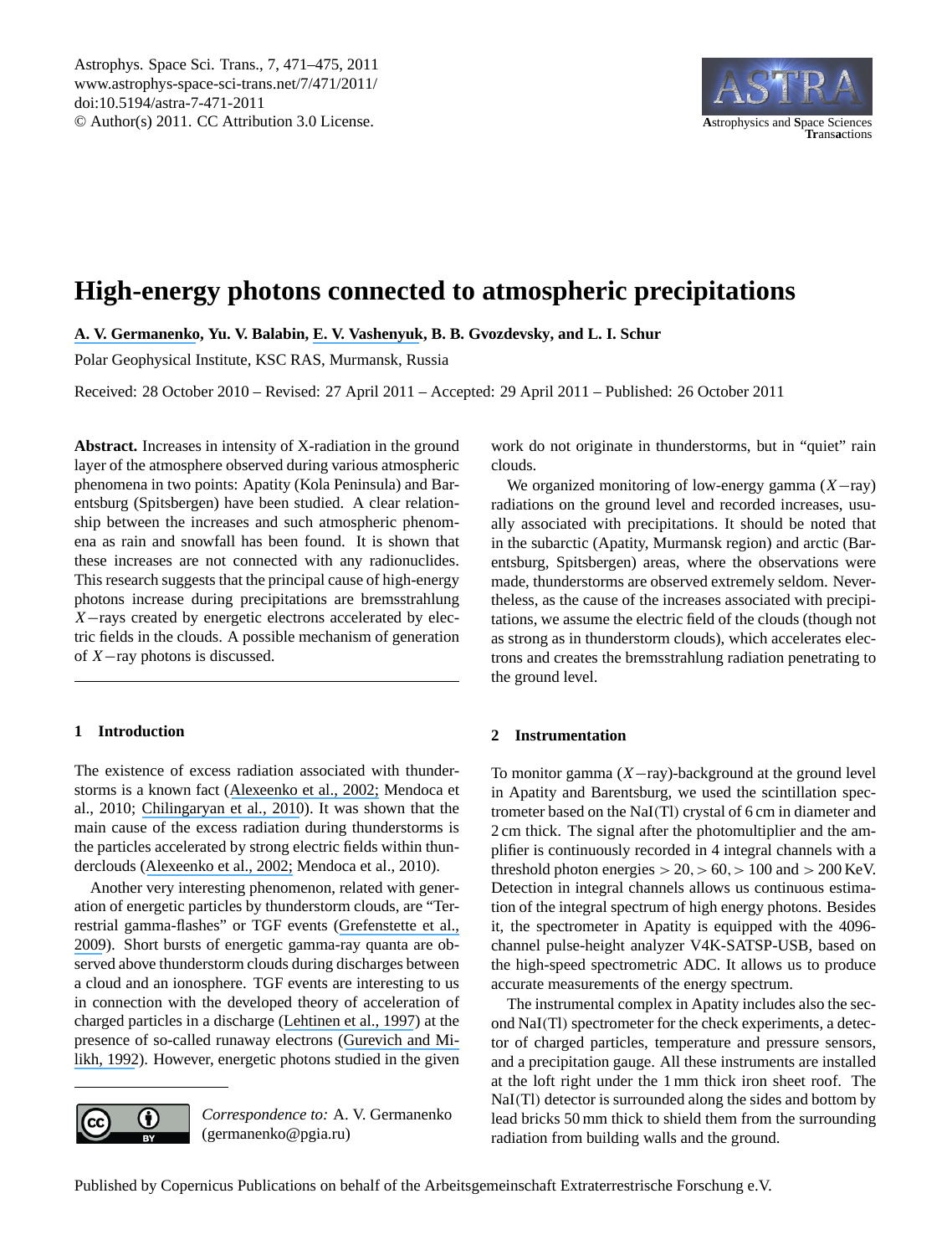Astrophys. Space Sci. Trans., 7, 471–475, 2011 www.astrophys-space-sci-trans.net/7/471/2011/ doi:10.5194/astra-7-471-2011 © Author(s) 2011. CC Attribution 3.0 License. **A**strophysics and **S**pace Sciences



# **High-energy photons connected to atmospheric precipitations**

**[A. V. Germanenko](https://www.researchgate.net/profile/Aleksei_Germanenko?el=1_x_100&enrichId=rgreq-a94412ce52bc230b5fb1575371add4e3-XXX&enrichSource=Y292ZXJQYWdlOzI0MTU1NjEwMztBUzoxNDc0NTg3NDcyNzczMTNAMTQxMjE2ODMxMzQ2OA==), Yu. V. Balabin, [E. V. Vashenyuk](https://www.researchgate.net/profile/Eduard_Vashenyuk?el=1_x_100&enrichId=rgreq-a94412ce52bc230b5fb1575371add4e3-XXX&enrichSource=Y292ZXJQYWdlOzI0MTU1NjEwMztBUzoxNDc0NTg3NDcyNzczMTNAMTQxMjE2ODMxMzQ2OA==), B. B. Gvozdevsky, and L. I. Schur**

Polar Geophysical Institute, KSC RAS, Murmansk, Russia

Received: 28 October 2010 – Revised: 27 April 2011 – Accepted: 29 April 2011 – Published: 26 October 2011

**Abstract.** Increases in intensity of X-radiation in the ground layer of the atmosphere observed during various atmospheric phenomena in two points: Apatity (Kola Peninsula) and Barentsburg (Spitsbergen) have been studied. A clear relationship between the increases and such atmospheric phenomena as rain and snowfall has been found. It is shown that these increases are not connected with any radionuclides. This research suggests that the principal cause of high-energy photons increase during precipitations are bremsstrahlung X−rays created by energetic electrons accelerated by electric fields in the clouds. A possible mechanism of generation of X−ray photons is discussed.

# **1 Introduction**

The existence of excess radiation associated with thunderstorms is a known fact ([Alexeenko et al., 2002;](https://www.researchgate.net/publication/223171188_Transient_variations_of_secondary_cosmic_rays_due_to_atmospheric_electric_field_and_evidence_for_pre-lightning_particle_acceleration?el=1_x_8&enrichId=rgreq-a94412ce52bc230b5fb1575371add4e3-XXX&enrichSource=Y292ZXJQYWdlOzI0MTU1NjEwMztBUzoxNDc0NTg3NDcyNzczMTNAMTQxMjE2ODMxMzQ2OA==) Mendoca et al., 2010; [Chilingaryan et al., 2010](https://www.researchgate.net/publication/235673255_Ground-based_observations_of_thunderstorm-correlated_fluxes_of_high-energy_electrons_gamma_rays_and_neutrons?el=1_x_8&enrichId=rgreq-a94412ce52bc230b5fb1575371add4e3-XXX&enrichSource=Y292ZXJQYWdlOzI0MTU1NjEwMztBUzoxNDc0NTg3NDcyNzczMTNAMTQxMjE2ODMxMzQ2OA==)). It was shown that the main cause of the excess radiation during thunderstorms is the particles accelerated by strong electric fields within thunderclouds ([Alexeenko et al., 2002;](https://www.researchgate.net/publication/223171188_Transient_variations_of_secondary_cosmic_rays_due_to_atmospheric_electric_field_and_evidence_for_pre-lightning_particle_acceleration?el=1_x_8&enrichId=rgreq-a94412ce52bc230b5fb1575371add4e3-XXX&enrichSource=Y292ZXJQYWdlOzI0MTU1NjEwMztBUzoxNDc0NTg3NDcyNzczMTNAMTQxMjE2ODMxMzQ2OA==) Mendoca et al., 2010).

Another very interesting phenomenon, related with generation of energetic particles by thunderstorm clouds, are "Terrestrial gamma-flashes" or TGF events ([Grefenstette et al.,](https://www.researchgate.net/publication/252708573_First_RHESSI_terestrial_gamma_ray_flash_catalog?el=1_x_8&enrichId=rgreq-a94412ce52bc230b5fb1575371add4e3-XXX&enrichSource=Y292ZXJQYWdlOzI0MTU1NjEwMztBUzoxNDc0NTg3NDcyNzczMTNAMTQxMjE2ODMxMzQ2OA==) [2009](https://www.researchgate.net/publication/252708573_First_RHESSI_terestrial_gamma_ray_flash_catalog?el=1_x_8&enrichId=rgreq-a94412ce52bc230b5fb1575371add4e3-XXX&enrichSource=Y292ZXJQYWdlOzI0MTU1NjEwMztBUzoxNDc0NTg3NDcyNzczMTNAMTQxMjE2ODMxMzQ2OA==)). Short bursts of energetic gamma-ray quanta are observed above thunderstorm clouds during discharges between a cloud and an ionosphere. TGF events are interesting to us in connection with the developed theory of acceleration of charged particles in a discharge ([Lehtinen et al., 1997](https://www.researchgate.net/publication/240462841_A_two-dimensional_model_of_runaway_electron_beams_driven_by_quasi-electrostatic_thundercloud_elds?el=1_x_8&enrichId=rgreq-a94412ce52bc230b5fb1575371add4e3-XXX&enrichSource=Y292ZXJQYWdlOzI0MTU1NjEwMztBUzoxNDc0NTg3NDcyNzczMTNAMTQxMjE2ODMxMzQ2OA==)) at the presence of so-called runaway electrons ([Gurevich and Mi](https://www.researchgate.net/publication/222452069_Runaway_electron_mechanism_of_air_breakdown_and_preconditioning_during_a_thunderstorm?el=1_x_8&enrichId=rgreq-a94412ce52bc230b5fb1575371add4e3-XXX&enrichSource=Y292ZXJQYWdlOzI0MTU1NjEwMztBUzoxNDc0NTg3NDcyNzczMTNAMTQxMjE2ODMxMzQ2OA==)[likh, 1992](https://www.researchgate.net/publication/222452069_Runaway_electron_mechanism_of_air_breakdown_and_preconditioning_during_a_thunderstorm?el=1_x_8&enrichId=rgreq-a94412ce52bc230b5fb1575371add4e3-XXX&enrichSource=Y292ZXJQYWdlOzI0MTU1NjEwMztBUzoxNDc0NTg3NDcyNzczMTNAMTQxMjE2ODMxMzQ2OA==)). However, energetic photons studied in the given



*Correspondence to:* A. V. Germanenko (germanenko@pgia.ru)

work do not originate in thunderstorms, but in "quiet" rain clouds.

We organized monitoring of low-energy gamma  $(X - ray)$ radiations on the ground level and recorded increases, usually associated with precipitations. It should be noted that in the subarctic (Apatity, Murmansk region) and arctic (Barentsburg, Spitsbergen) areas, where the observations were made, thunderstorms are observed extremely seldom. Nevertheless, as the cause of the increases associated with precipitations, we assume the electric field of the clouds (though not as strong as in thunderstorm clouds), which accelerates electrons and creates the bremsstrahlung radiation penetrating to the ground level.

## **2 Instrumentation**

To monitor gamma  $(X-ray)$ -background at the ground level in Apatity and Barentsburg, we used the scintillation spectrometer based on the NaI(Tl) crystal of 6 cm in diameter and 2 cm thick. The signal after the photomultiplier and the amplifier is continuously recorded in 4 integral channels with a threshold photon energies  $> 20, > 60, > 100$  and  $> 200$  KeV. Detection in integral channels allows us continuous estimation of the integral spectrum of high energy photons. Besides it, the spectrometer in Apatity is equipped with the 4096 channel pulse-height analyzer V4K-SATSP-USB, based on the high-speed spectrometric ADC. It allows us to produce accurate measurements of the energy spectrum.

The instrumental complex in Apatity includes also the second NaI(Tl) spectrometer for the check experiments, a detector of charged particles, temperature and pressure sensors, and a precipitation gauge. All these instruments are installed at the loft right under the 1 mm thick iron sheet roof. The NaI(Tl) detector is surrounded along the sides and bottom by lead bricks 50 mm thick to shield them from the surrounding radiation from building walls and the ground.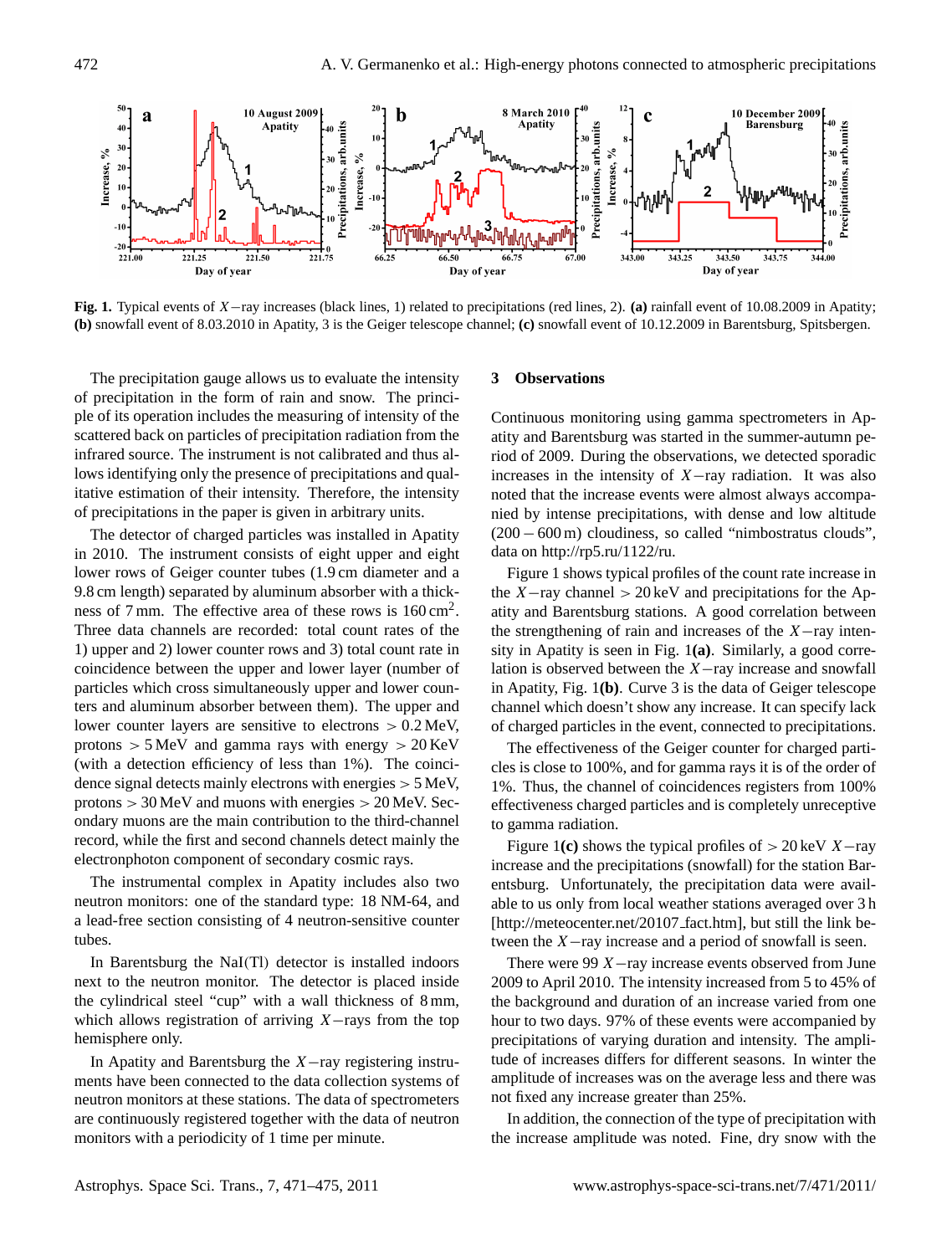

**Fig. 1.** Typical events of X−ray increases (black lines, 1) related to precipitations (red lines, 2). **(a)** rainfall event of 10.08.2009 in Apatity; **(b)** snowfall event of 8.03.2010 in Apatity, 3 is the Geiger telescope channel; **(c)** snowfall event of 10.12.2009 in Barentsburg, Spitsbergen.

The precipitation gauge allows us to evaluate the intensity of precipitation in the form of rain and snow. The principle of its operation includes the measuring of intensity of the scattered back on particles of precipitation radiation from the infrared source. The instrument is not calibrated and thus allows identifying only the presence of precipitations and qualitative estimation of their intensity. Therefore, the intensity of precipitations in the paper is given in arbitrary units.

The detector of charged particles was installed in Apatity in 2010. The instrument consists of eight upper and eight lower rows of Geiger counter tubes (1.9 cm diameter and a 9.8 cm length) separated by aluminum absorber with a thickness of 7 mm. The effective area of these rows is  $160 \text{ cm}^2$ . Three data channels are recorded: total count rates of the 1) upper and 2) lower counter rows and 3) total count rate in coincidence between the upper and lower layer (number of particles which cross simultaneously upper and lower counters and aluminum absorber between them). The upper and lower counter layers are sensitive to electrons > 0.2 MeV, protons  $> 5$  MeV and gamma rays with energy  $> 20$  KeV (with a detection efficiency of less than 1%). The coincidence signal detects mainly electrons with energies > 5 MeV, protons  $> 30$  MeV and muons with energies  $> 20$  MeV. Secondary muons are the main contribution to the third-channel record, while the first and second channels detect mainly the electronphoton component of secondary cosmic rays.

The instrumental complex in Apatity includes also two neutron monitors: one of the standard type: 18 NM-64, and a lead-free section consisting of 4 neutron-sensitive counter tubes.

In Barentsburg the NaI(Tl) detector is installed indoors next to the neutron monitor. The detector is placed inside the cylindrical steel "cup" with a wall thickness of 8 mm, which allows registration of arriving  $X$ −rays from the top hemisphere only.

In Apatity and Barentsburg the X−ray registering instruments have been connected to the data collection systems of neutron monitors at these stations. The data of spectrometers are continuously registered together with the data of neutron monitors with a periodicity of 1 time per minute.

## **3 Observations**

Continuous monitoring using gamma spectrometers in Apatity and Barentsburg was started in the summer-autumn period of 2009. During the observations, we detected sporadic increases in the intensity of  $X$ -ray radiation. It was also noted that the increase events were almost always accompanied by intense precipitations, with dense and low altitude (200−600 m) cloudiness, so called "nimbostratus clouds", data on [http://rp5.ru/1122/ru.](http://rp5.ru/1122/ru)

Figure 1 shows typical profiles of the count rate increase in the X–ray channel  $> 20 \,\text{keV}$  and precipitations for the Apatity and Barentsburg stations. A good correlation between the strengthening of rain and increases of the X−ray intensity in Apatity is seen in Fig. 1**(a)**. Similarly, a good correlation is observed between the X−ray increase and snowfall in Apatity, Fig. 1**(b)**. Curve 3 is the data of Geiger telescope channel which doesn't show any increase. It can specify lack of charged particles in the event, connected to precipitations.

The effectiveness of the Geiger counter for charged particles is close to 100%, and for gamma rays it is of the order of 1%. Thus, the channel of coincidences registers from 100% effectiveness charged particles and is completely unreceptive to gamma radiation.

Figure 1**(c)** shows the typical profiles of  $> 20 \text{ keV } X$  -ray increase and the precipitations (snowfall) for the station Barentsburg. Unfortunately, the precipitation data were available to us only from local weather stations averaged over 3 h [\[http://meteocenter.net/20107](http://meteocenter.net/20107_fact.htm)\_fact.htm], but still the link between the X−ray increase and a period of snowfall is seen.

There were 99  $X$  —ray increase events observed from June 2009 to April 2010. The intensity increased from 5 to 45% of the background and duration of an increase varied from one hour to two days. 97% of these events were accompanied by precipitations of varying duration and intensity. The amplitude of increases differs for different seasons. In winter the amplitude of increases was on the average less and there was not fixed any increase greater than 25%.

In addition, the connection of the type of precipitation with the increase amplitude was noted. Fine, dry snow with the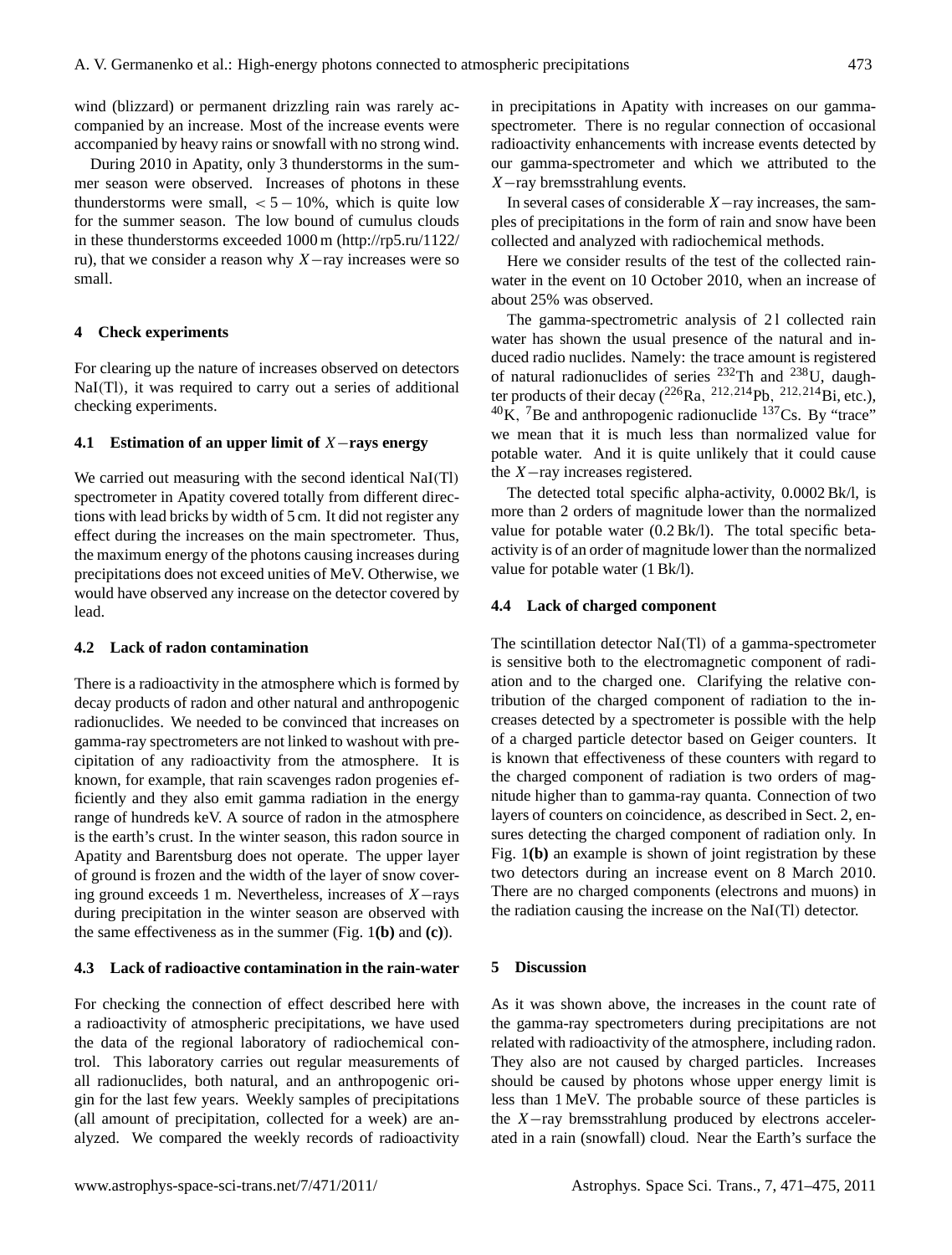wind (blizzard) or permanent drizzling rain was rarely accompanied by an increase. Most of the increase events were accompanied by heavy rains or snowfall with no strong wind.

During 2010 in Apatity, only 3 thunderstorms in the summer season were observed. Increases of photons in these thunderstorms were small,  $< 5 - 10\%$ , which is quite low for the summer season. The low bound of cumulus clouds in these thunderstorms exceeded 1000 m [\(http://rp5.ru/1122/](http://rp5.ru/1122/ru) [ru\)](http://rp5.ru/1122/ru), that we consider a reason why X−ray increases were so small.

#### **4 Check experiments**

For clearing up the nature of increases observed on detectors NaI(Tl), it was required to carry out a series of additional checking experiments.

# **4.1 Estimation of an upper limit of** X−**rays energy**

We carried out measuring with the second identical NaI(Tl) spectrometer in Apatity covered totally from different directions with lead bricks by width of 5 cm. It did not register any effect during the increases on the main spectrometer. Thus, the maximum energy of the photons causing increases during precipitations does not exceed unities of MeV. Otherwise, we would have observed any increase on the detector covered by lead.

#### **4.2 Lack of radon contamination**

There is a radioactivity in the atmosphere which is formed by decay products of radon and other natural and anthropogenic radionuclides. We needed to be convinced that increases on gamma-ray spectrometers are not linked to washout with precipitation of any radioactivity from the atmosphere. It is known, for example, that rain scavenges radon progenies efficiently and they also emit gamma radiation in the energy range of hundreds keV. A source of radon in the atmosphere is the earth's crust. In the winter season, this radon source in Apatity and Barentsburg does not operate. The upper layer of ground is frozen and the width of the layer of snow covering ground exceeds 1 m. Nevertheless, increases of X−rays during precipitation in the winter season are observed with the same effectiveness as in the summer (Fig. 1**(b)** and **(c)**).

### **4.3 Lack of radioactive contamination in the rain-water**

For checking the connection of effect described here with a radioactivity of atmospheric precipitations, we have used the data of the regional laboratory of radiochemical control. This laboratory carries out regular measurements of all radionuclides, both natural, and an anthropogenic origin for the last few years. Weekly samples of precipitations (all amount of precipitation, collected for a week) are analyzed. We compared the weekly records of radioactivity in precipitations in Apatity with increases on our gammaspectrometer. There is no regular connection of occasional radioactivity enhancements with increase events detected by our gamma-spectrometer and which we attributed to the X−ray bremsstrahlung events.

In several cases of considerable X−ray increases, the samples of precipitations in the form of rain and snow have been collected and analyzed with radiochemical methods.

Here we consider results of the test of the collected rainwater in the event on 10 October 2010, when an increase of about 25% was observed.

The gamma-spectrometric analysis of 21 collected rain water has shown the usual presence of the natural and induced radio nuclides. Namely: the trace amount is registered of natural radionuclides of series  $^{232}$ Th and  $^{238}$ U, daughter products of their decay  $(^{226}Ra, ^{212,214}Pb, ^{212,214}Bi,$  etc.),  $^{40}$ K, <sup>7</sup>Be and anthropogenic radionuclide  $^{137}$ Cs. By "trace" we mean that it is much less than normalized value for potable water. And it is quite unlikely that it could cause the X−ray increases registered.

The detected total specific alpha-activity, 0.0002 Bk/l, is more than 2 orders of magnitude lower than the normalized value for potable water (0.2 Bk/l). The total specific betaactivity is of an order of magnitude lower than the normalized value for potable water (1 Bk/l).

#### **4.4 Lack of charged component**

The scintillation detector NaI(Tl) of a gamma-spectrometer is sensitive both to the electromagnetic component of radiation and to the charged one. Clarifying the relative contribution of the charged component of radiation to the increases detected by a spectrometer is possible with the help of a charged particle detector based on Geiger counters. It is known that effectiveness of these counters with regard to the charged component of radiation is two orders of magnitude higher than to gamma-ray quanta. Connection of two layers of counters on coincidence, as described in Sect. 2, ensures detecting the charged component of radiation only. In Fig. 1**(b)** an example is shown of joint registration by these two detectors during an increase event on 8 March 2010. There are no charged components (electrons and muons) in the radiation causing the increase on the NaI(Tl) detector.

### **5 Discussion**

As it was shown above, the increases in the count rate of the gamma-ray spectrometers during precipitations are not related with radioactivity of the atmosphere, including radon. They also are not caused by charged particles. Increases should be caused by photons whose upper energy limit is less than 1 MeV. The probable source of these particles is the X−ray bremsstrahlung produced by electrons accelerated in a rain (snowfall) cloud. Near the Earth's surface the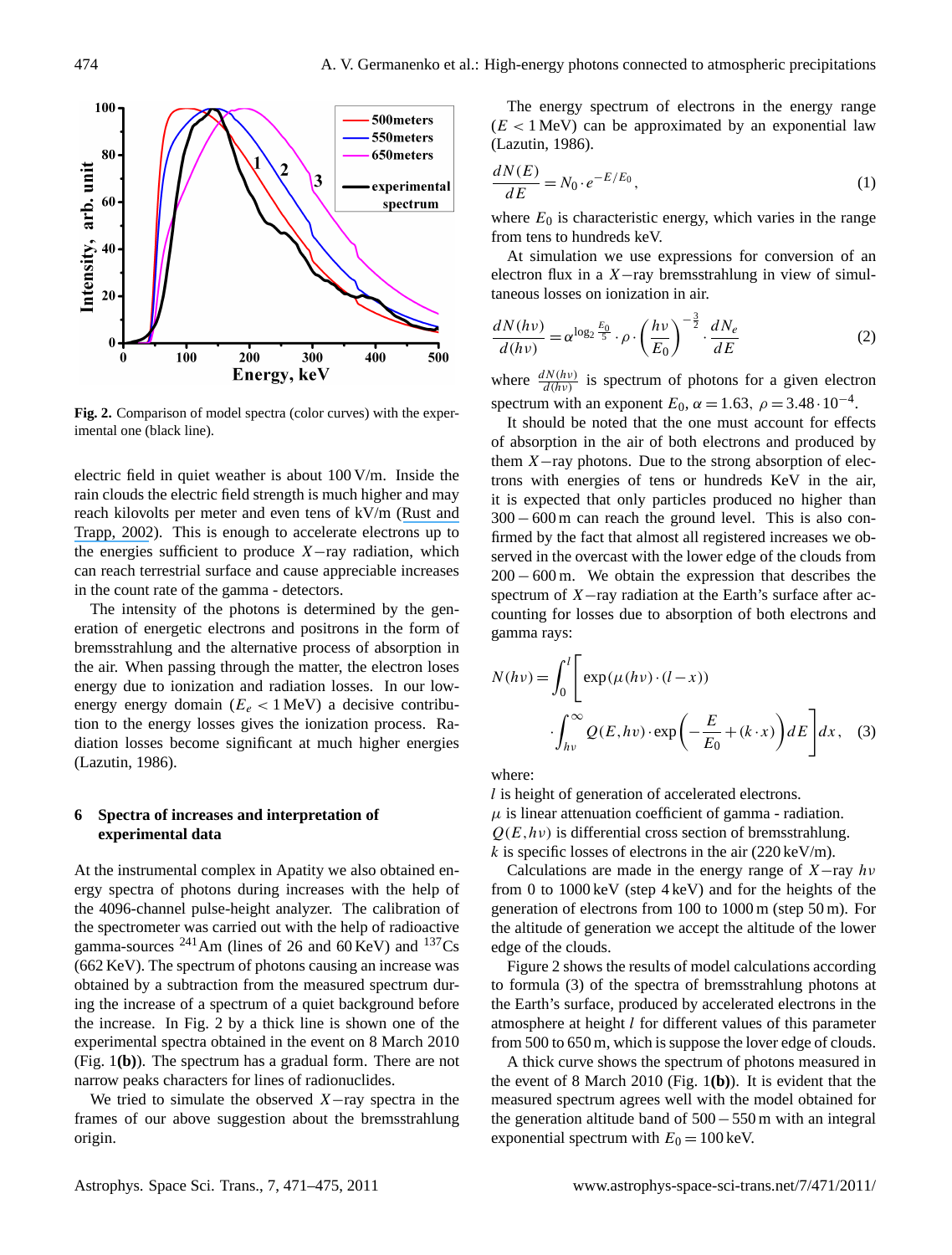

**Fig. 2.** Comparison of model spectra (color curves) with the experimental one (black line).

electric field in quiet weather is about 100 V/m. Inside the rain clouds the electric field strength is much higher and may reach kilovolts per meter and even tens of kV/m ([Rust and](https://www.researchgate.net/publication/237722472_Initial_balloon_soundings_of_the_electric_field_in_winter_nimbostratus_clouds_in_the_USA?el=1_x_8&enrichId=rgreq-a94412ce52bc230b5fb1575371add4e3-XXX&enrichSource=Y292ZXJQYWdlOzI0MTU1NjEwMztBUzoxNDc0NTg3NDcyNzczMTNAMTQxMjE2ODMxMzQ2OA==) [Trapp, 2002](https://www.researchgate.net/publication/237722472_Initial_balloon_soundings_of_the_electric_field_in_winter_nimbostratus_clouds_in_the_USA?el=1_x_8&enrichId=rgreq-a94412ce52bc230b5fb1575371add4e3-XXX&enrichSource=Y292ZXJQYWdlOzI0MTU1NjEwMztBUzoxNDc0NTg3NDcyNzczMTNAMTQxMjE2ODMxMzQ2OA==)). This is enough to accelerate electrons up to the energies sufficient to produce  $X$ −ray radiation, which can reach terrestrial surface and cause appreciable increases in the count rate of the gamma - detectors.

The intensity of the photons is determined by the generation of energetic electrons and positrons in the form of bremsstrahlung and the alternative process of absorption in the air. When passing through the matter, the electron loses energy due to ionization and radiation losses. In our lowenergy energy domain ( $E_e$  < 1 MeV) a decisive contribution to the energy losses gives the ionization process. Radiation losses become significant at much higher energies (Lazutin, 1986).

# **6 Spectra of increases and interpretation of experimental data**

At the instrumental complex in Apatity we also obtained energy spectra of photons during increases with the help of the 4096-channel pulse-height analyzer. The calibration of the spectrometer was carried out with the help of radioactive gamma-sources  $^{241}$ Am (lines of 26 and 60 KeV) and  $^{137}$ Cs (662 KeV). The spectrum of photons causing an increase was obtained by a subtraction from the measured spectrum during the increase of a spectrum of a quiet background before the increase. In Fig. 2 by a thick line is shown one of the experimental spectra obtained in the event on 8 March 2010 (Fig. 1**(b)**). The spectrum has a gradual form. There are not narrow peaks characters for lines of radionuclides.

We tried to simulate the observed  $X$ −ray spectra in the frames of our above suggestion about the bremsstrahlung origin.

The energy spectrum of electrons in the energy range  $(E < 1$  MeV) can be approximated by an exponential law (Lazutin, 1986).

$$
\frac{dN(E)}{dE} = N_0 \cdot e^{-E/E_0},\tag{1}
$$

where  $E_0$  is characteristic energy, which varies in the range from tens to hundreds keV.

At simulation we use expressions for conversion of an electron flux in a  $X$ -ray bremsstrahlung in view of simultaneous losses on ionization in air.

$$
\frac{dN(h\nu)}{d(h\nu)} = \alpha^{\log_2 \frac{E_0}{5}} \cdot \rho \cdot \left(\frac{h\nu}{E_0}\right)^{-\frac{3}{2}} \cdot \frac{dN_e}{dE}
$$
(2)

where  $\frac{dN(hv)}{d(hv)}$  is spectrum of photons for a given electron spectrum with an exponent  $E_0$ ,  $\alpha = 1.63$ ,  $\rho = 3.48 \cdot 10^{-4}$ .

It should be noted that the one must account for effects of absorption in the air of both electrons and produced by them X−ray photons. Due to the strong absorption of electrons with energies of tens or hundreds KeV in the air, it is expected that only particles produced no higher than 300−600 m can reach the ground level. This is also confirmed by the fact that almost all registered increases we observed in the overcast with the lower edge of the clouds from 200 − 600 m. We obtain the expression that describes the spectrum of X–ray radiation at the Earth's surface after accounting for losses due to absorption of both electrons and gamma rays:

$$
N(h\nu) = \int_0^l \left[ \exp(\mu(h\nu) \cdot (l - x)) \right]
$$

$$
\int_{hv}^{\infty} Q(E, hv) \cdot \exp\left(-\frac{E}{E_0} + (k \cdot x)\right) dE \right] dx, \quad (3)
$$

where:

l is height of generation of accelerated electrons.  $\mu$  is linear attenuation coefficient of gamma - radiation.  $Q(E, h\nu)$  is differential cross section of bremsstrahlung.  $k$  is specific losses of electrons in the air (220 keV/m).

Calculations are made in the energy range of  $X$ -ray  $hv$ from 0 to 1000 keV (step 4 keV) and for the heights of the generation of electrons from 100 to 1000 m (step 50 m). For the altitude of generation we accept the altitude of the lower edge of the clouds.

Figure 2 shows the results of model calculations according to formula (3) of the spectra of bremsstrahlung photons at the Earth's surface, produced by accelerated electrons in the atmosphere at height l for different values of this parameter from 500 to 650 m, which is suppose the lover edge of clouds.

A thick curve shows the spectrum of photons measured in the event of 8 March 2010 (Fig. 1**(b)**). It is evident that the measured spectrum agrees well with the model obtained for the generation altitude band of 500−550 m with an integral exponential spectrum with  $E_0 = 100$  keV.